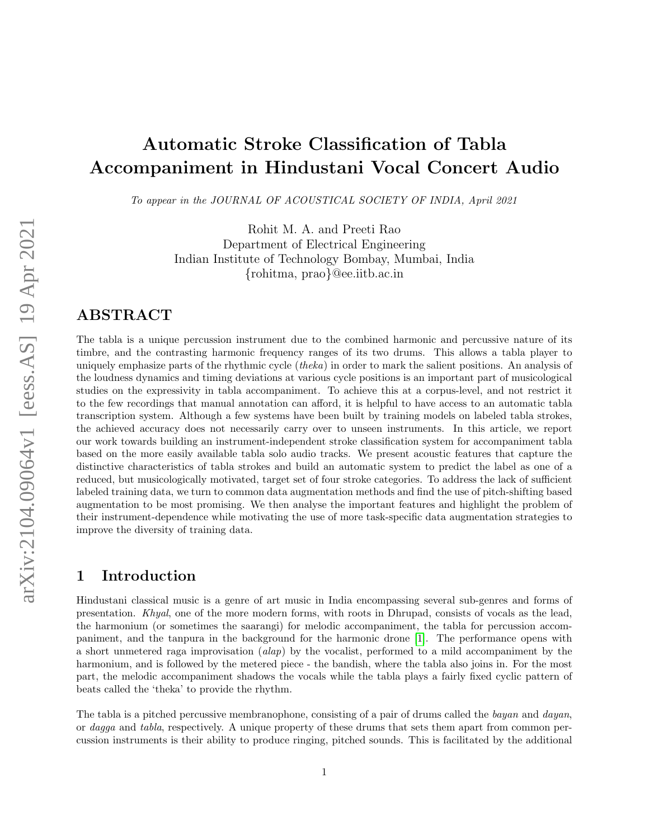# Automatic Stroke Classification of Tabla Accompaniment in Hindustani Vocal Concert Audio

To appear in the JOURNAL OF ACOUSTICAL SOCIETY OF INDIA, April 2021

Rohit M. A. and Preeti Rao Department of Electrical Engineering Indian Institute of Technology Bombay, Mumbai, India {rohitma, prao}@ee.iitb.ac.in

# ABSTRACT

The tabla is a unique percussion instrument due to the combined harmonic and percussive nature of its timbre, and the contrasting harmonic frequency ranges of its two drums. This allows a tabla player to uniquely emphasize parts of the rhythmic cycle *(theka)* in order to mark the salient positions. An analysis of the loudness dynamics and timing deviations at various cycle positions is an important part of musicological studies on the expressivity in tabla accompaniment. To achieve this at a corpus-level, and not restrict it to the few recordings that manual annotation can afford, it is helpful to have access to an automatic tabla transcription system. Although a few systems have been built by training models on labeled tabla strokes, the achieved accuracy does not necessarily carry over to unseen instruments. In this article, we report our work towards building an instrument-independent stroke classification system for accompaniment tabla based on the more easily available tabla solo audio tracks. We present acoustic features that capture the distinctive characteristics of tabla strokes and build an automatic system to predict the label as one of a reduced, but musicologically motivated, target set of four stroke categories. To address the lack of sufficient labeled training data, we turn to common data augmentation methods and find the use of pitch-shifting based augmentation to be most promising. We then analyse the important features and highlight the problem of their instrument-dependence while motivating the use of more task-specific data augmentation strategies to improve the diversity of training data.

## 1 Introduction

Hindustani classical music is a genre of art music in India encompassing several sub-genres and forms of presentation. Khyal, one of the more modern forms, with roots in Dhrupad, consists of vocals as the lead, the harmonium (or sometimes the saarangi) for melodic accompaniment, the tabla for percussion accompaniment, and the tanpura in the background for the harmonic drone [\[1\]](#page-14-0). The performance opens with a short unmetered raga improvisation (alap) by the vocalist, performed to a mild accompaniment by the harmonium, and is followed by the metered piece - the bandish, where the tabla also joins in. For the most part, the melodic accompaniment shadows the vocals while the tabla plays a fairly fixed cyclic pattern of beats called the 'theka' to provide the rhythm.

The tabla is a pitched percussive membranophone, consisting of a pair of drums called the bayan and dayan, or dagga and tabla, respectively. A unique property of these drums that sets them apart from common percussion instruments is their ability to produce ringing, pitched sounds. This is facilitated by the additional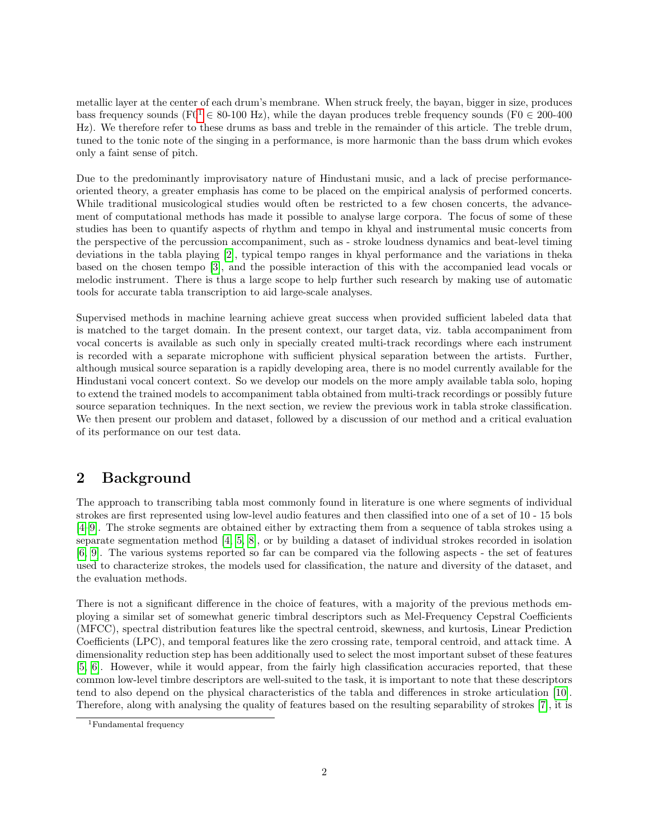metallic layer at the center of each drum's membrane. When struck freely, the bayan, bigger in size, produces bass frequency sounds ( $F0^1 \in 80$  $F0^1 \in 80$  $F0^1 \in 80$ -100 Hz), while the dayan produces treble frequency sounds ( $F0 \in 200$ -400 Hz). We therefore refer to these drums as bass and treble in the remainder of this article. The treble drum, tuned to the tonic note of the singing in a performance, is more harmonic than the bass drum which evokes only a faint sense of pitch.

Due to the predominantly improvisatory nature of Hindustani music, and a lack of precise performanceoriented theory, a greater emphasis has come to be placed on the empirical analysis of performed concerts. While traditional musicological studies would often be restricted to a few chosen concerts, the advancement of computational methods has made it possible to analyse large corpora. The focus of some of these studies has been to quantify aspects of rhythm and tempo in khyal and instrumental music concerts from the perspective of the percussion accompaniment, such as - stroke loudness dynamics and beat-level timing deviations in the tabla playing [\[2\]](#page-14-1), typical tempo ranges in khyal performance and the variations in theka based on the chosen tempo [\[3\]](#page-14-2), and the possible interaction of this with the accompanied lead vocals or melodic instrument. There is thus a large scope to help further such research by making use of automatic tools for accurate tabla transcription to aid large-scale analyses.

Supervised methods in machine learning achieve great success when provided sufficient labeled data that is matched to the target domain. In the present context, our target data, viz. tabla accompaniment from vocal concerts is available as such only in specially created multi-track recordings where each instrument is recorded with a separate microphone with sufficient physical separation between the artists. Further, although musical source separation is a rapidly developing area, there is no model currently available for the Hindustani vocal concert context. So we develop our models on the more amply available tabla solo, hoping to extend the trained models to accompaniment tabla obtained from multi-track recordings or possibly future source separation techniques. In the next section, we review the previous work in tabla stroke classification. We then present our problem and dataset, followed by a discussion of our method and a critical evaluation of its performance on our test data.

# <span id="page-1-1"></span>2 Background

The approach to transcribing tabla most commonly found in literature is one where segments of individual strokes are first represented using low-level audio features and then classified into one of a set of 10 - 15 bols [\[4–](#page-14-3)[9\]](#page-14-4). The stroke segments are obtained either by extracting them from a sequence of tabla strokes using a separate segmentation method [\[4,](#page-14-3) [5,](#page-14-5) [8\]](#page-14-6), or by building a dataset of individual strokes recorded in isolation [\[6,](#page-14-7) [9\]](#page-14-4). The various systems reported so far can be compared via the following aspects - the set of features used to characterize strokes, the models used for classification, the nature and diversity of the dataset, and the evaluation methods.

There is not a significant difference in the choice of features, with a majority of the previous methods employing a similar set of somewhat generic timbral descriptors such as Mel-Frequency Cepstral Coefficients (MFCC), spectral distribution features like the spectral centroid, skewness, and kurtosis, Linear Prediction Coefficients (LPC), and temporal features like the zero crossing rate, temporal centroid, and attack time. A dimensionality reduction step has been additionally used to select the most important subset of these features [\[5,](#page-14-5) [6\]](#page-14-7). However, while it would appear, from the fairly high classification accuracies reported, that these common low-level timbre descriptors are well-suited to the task, it is important to note that these descriptors tend to also depend on the physical characteristics of the tabla and differences in stroke articulation [\[10\]](#page-14-8). Therefore, along with analysing the quality of features based on the resulting separability of strokes [\[7\]](#page-14-9), it is

<span id="page-1-0"></span><sup>&</sup>lt;sup>1</sup>Fundamental frequency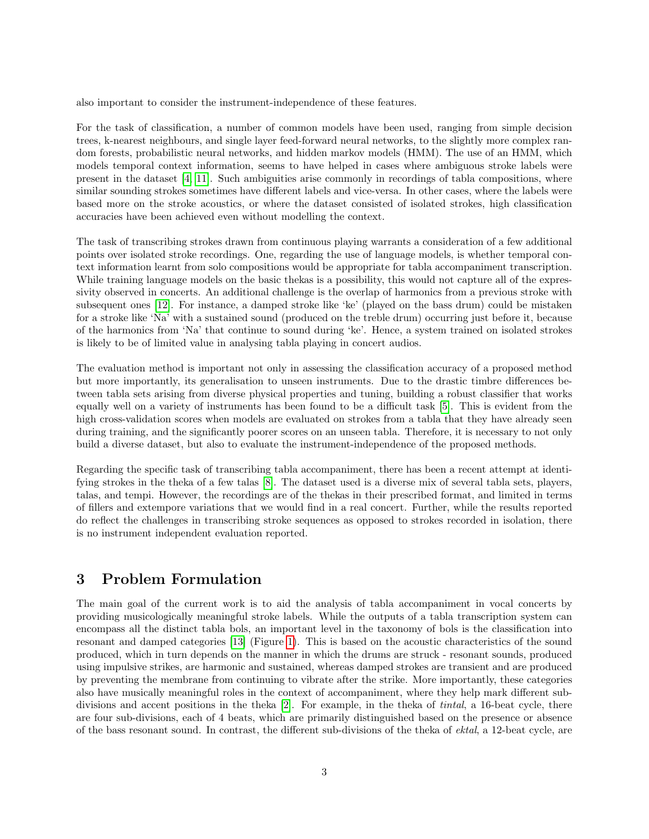also important to consider the instrument-independence of these features.

For the task of classification, a number of common models have been used, ranging from simple decision trees, k-nearest neighbours, and single layer feed-forward neural networks, to the slightly more complex random forests, probabilistic neural networks, and hidden markov models (HMM). The use of an HMM, which models temporal context information, seems to have helped in cases where ambiguous stroke labels were present in the dataset [\[4,](#page-14-3) [11\]](#page-14-10). Such ambiguities arise commonly in recordings of tabla compositions, where similar sounding strokes sometimes have different labels and vice-versa. In other cases, where the labels were based more on the stroke acoustics, or where the dataset consisted of isolated strokes, high classification accuracies have been achieved even without modelling the context.

The task of transcribing strokes drawn from continuous playing warrants a consideration of a few additional points over isolated stroke recordings. One, regarding the use of language models, is whether temporal context information learnt from solo compositions would be appropriate for tabla accompaniment transcription. While training language models on the basic thekas is a possibility, this would not capture all of the expressivity observed in concerts. An additional challenge is the overlap of harmonics from a previous stroke with subsequent ones [\[12\]](#page-14-11). For instance, a damped stroke like 'ke' (played on the bass drum) could be mistaken for a stroke like 'Na' with a sustained sound (produced on the treble drum) occurring just before it, because of the harmonics from 'Na' that continue to sound during 'ke'. Hence, a system trained on isolated strokes is likely to be of limited value in analysing tabla playing in concert audios.

The evaluation method is important not only in assessing the classification accuracy of a proposed method but more importantly, its generalisation to unseen instruments. Due to the drastic timbre differences between tabla sets arising from diverse physical properties and tuning, building a robust classifier that works equally well on a variety of instruments has been found to be a difficult task [\[5\]](#page-14-5). This is evident from the high cross-validation scores when models are evaluated on strokes from a tabla that they have already seen during training, and the significantly poorer scores on an unseen tabla. Therefore, it is necessary to not only build a diverse dataset, but also to evaluate the instrument-independence of the proposed methods.

Regarding the specific task of transcribing tabla accompaniment, there has been a recent attempt at identifying strokes in the theka of a few talas [\[8\]](#page-14-6). The dataset used is a diverse mix of several tabla sets, players, talas, and tempi. However, the recordings are of the thekas in their prescribed format, and limited in terms of fillers and extempore variations that we would find in a real concert. Further, while the results reported do reflect the challenges in transcribing stroke sequences as opposed to strokes recorded in isolation, there is no instrument independent evaluation reported.

# 3 Problem Formulation

The main goal of the current work is to aid the analysis of tabla accompaniment in vocal concerts by providing musicologically meaningful stroke labels. While the outputs of a tabla transcription system can encompass all the distinct tabla bols, an important level in the taxonomy of bols is the classification into resonant and damped categories [\[13\]](#page-14-12) (Figure [1\)](#page-3-0). This is based on the acoustic characteristics of the sound produced, which in turn depends on the manner in which the drums are struck - resonant sounds, produced using impulsive strikes, are harmonic and sustained, whereas damped strokes are transient and are produced by preventing the membrane from continuing to vibrate after the strike. More importantly, these categories also have musically meaningful roles in the context of accompaniment, where they help mark different subdivisions and accent positions in the theka [\[2\]](#page-14-1). For example, in the theka of tintal, a 16-beat cycle, there are four sub-divisions, each of 4 beats, which are primarily distinguished based on the presence or absence of the bass resonant sound. In contrast, the different sub-divisions of the theka of ektal, a 12-beat cycle, are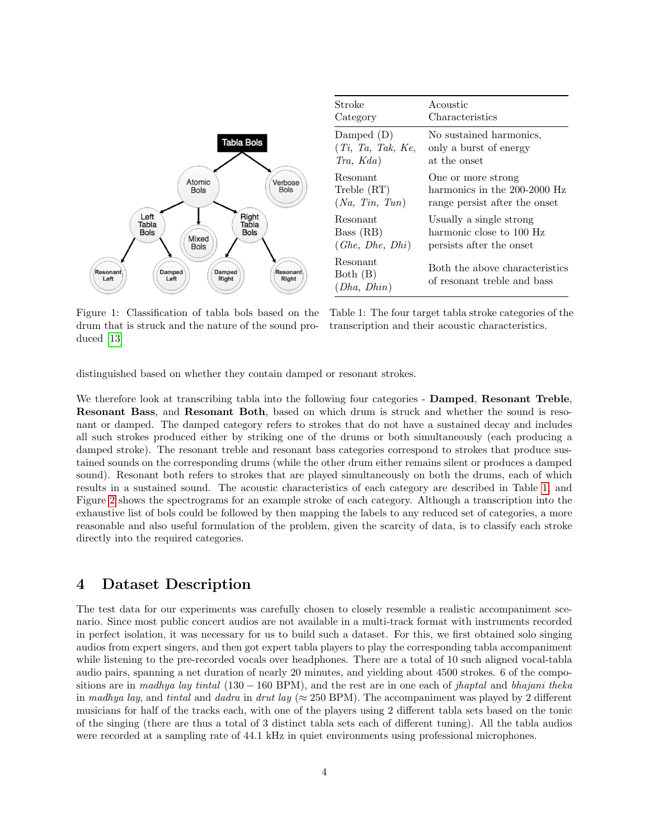<span id="page-3-0"></span>

| Stroke                              | Acoustic                                                      |
|-------------------------------------|---------------------------------------------------------------|
| Category                            | Characteristics                                               |
| Damped (D)                          | No sustained harmonics,                                       |
| (Ti, Ta, Tak, Ke,                   | only a burst of energy                                        |
| Tra, Kda)                           | at the onset                                                  |
| Resonant                            | One or more strong                                            |
| Treble (RT)                         | harmonics in the 200-2000 Hz                                  |
| (Na, Tin, Tun)                      | range persist after the onset                                 |
| Resonant                            | Usually a single strong                                       |
| Bass (RB)                           | harmonic close to 100 Hz                                      |
| (Ghe, Dhe, Dhi)                     | persists after the onset                                      |
| Resonant<br>Both (B)<br>(Dha, Dhin) | Both the above characteristics<br>of resonant treble and bass |

Figure 1: Classification of tabla bols based on the drum that is struck and the nature of the sound produced [\[13\]](#page-14-12)

Table 1: The four target tabla stroke categories of the transcription and their acoustic characteristics.

distinguished based on whether they contain damped or resonant strokes.

We therefore look at transcribing tabla into the following four categories - **Damped, Resonant Treble**. Resonant Bass, and Resonant Both, based on which drum is struck and whether the sound is resonant or damped. The damped category refers to strokes that do not have a sustained decay and includes all such strokes produced either by striking one of the drums or both simultaneously (each producing a damped stroke). The resonant treble and resonant bass categories correspond to strokes that produce sustained sounds on the corresponding drums (while the other drum either remains silent or produces a damped sound). Resonant both refers to strokes that are played simultaneously on both the drums, each of which results in a sustained sound. The acoustic characteristics of each category are described in Table [1,](#page-3-0) and Figure [2](#page-4-0) shows the spectrograms for an example stroke of each category. Although a transcription into the exhaustive list of bols could be followed by then mapping the labels to any reduced set of categories, a more reasonable and also useful formulation of the problem, given the scarcity of data, is to classify each stroke directly into the required categories.

### 4 Dataset Description

The test data for our experiments was carefully chosen to closely resemble a realistic accompaniment scenario. Since most public concert audios are not available in a multi-track format with instruments recorded in perfect isolation, it was necessary for us to build such a dataset. For this, we first obtained solo singing audios from expert singers, and then got expert tabla players to play the corresponding tabla accompaniment while listening to the pre-recorded vocals over headphones. There are a total of 10 such aligned vocal-tabla audio pairs, spanning a net duration of nearly 20 minutes, and yielding about 4500 strokes. 6 of the compositions are in madhya lay tintal  $(130 - 160$  BPM), and the rest are in one each of jhaptal and bhajani theka in madhya lay, and tintal and dadra in drut lay ( $\approx 250$  BPM). The accompaniment was played by 2 different musicians for half of the tracks each, with one of the players using 2 different tabla sets based on the tonic of the singing (there are thus a total of 3 distinct tabla sets each of different tuning). All the tabla audios were recorded at a sampling rate of 44.1 kHz in quiet environments using professional microphones.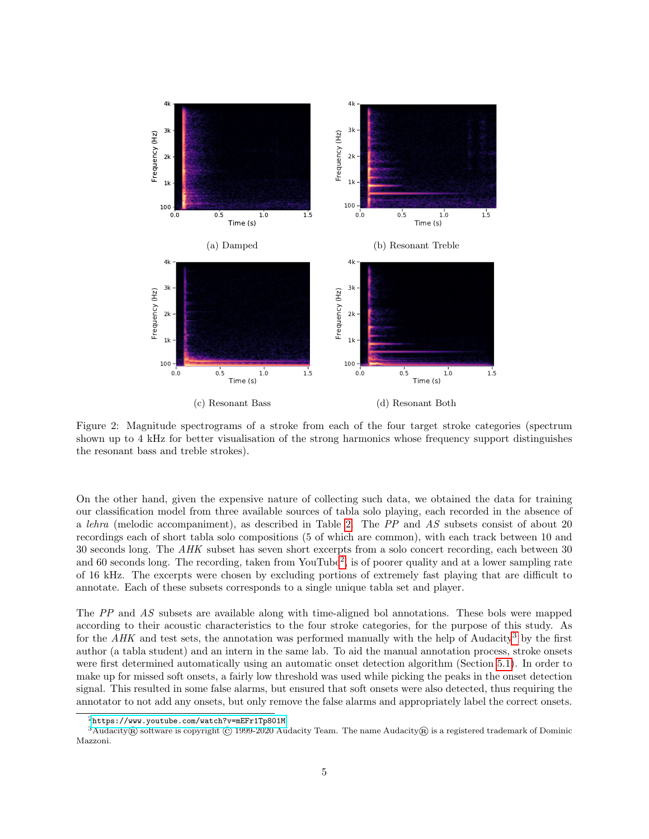<span id="page-4-0"></span>

Figure 2: Magnitude spectrograms of a stroke from each of the four target stroke categories (spectrum shown up to 4 kHz for better visualisation of the strong harmonics whose frequency support distinguishes the resonant bass and treble strokes).

On the other hand, given the expensive nature of collecting such data, we obtained the data for training our classification model from three available sources of tabla solo playing, each recorded in the absence of a lehra (melodic accompaniment), as described in Table [2.](#page-5-0) The PP and AS subsets consist of about 20 recordings each of short tabla solo compositions (5 of which are common), with each track between 10 and 30 seconds long. The AHK subset has seven short excerpts from a solo concert recording, each between 30 and 60 seconds long. The recording, taken from YouTube<sup>[2](#page-4-1)</sup>, is of poorer quality and at a lower sampling rate of 16 kHz. The excerpts were chosen by excluding portions of extremely fast playing that are difficult to annotate. Each of these subsets corresponds to a single unique tabla set and player.

The PP and AS subsets are available along with time-aligned bol annotations. These bols were mapped according to their acoustic characteristics to the four stroke categories, for the purpose of this study. As for the AHK and test sets, the annotation was performed manually with the help of Audacity<sup>[3](#page-4-2)</sup> by the first author (a tabla student) and an intern in the same lab. To aid the manual annotation process, stroke onsets were first determined automatically using an automatic onset detection algorithm (Section [5.1\)](#page-5-1). In order to make up for missed soft onsets, a fairly low threshold was used while picking the peaks in the onset detection signal. This resulted in some false alarms, but ensured that soft onsets were also detected, thus requiring the annotator to not add any onsets, but only remove the false alarms and appropriately label the correct onsets.

<span id="page-4-2"></span><span id="page-4-1"></span><sup>2</sup><https://www.youtube.com/watch?v=mEFr1Tp801M>

 $3Audacity$  software is copyright © 1999-2020 Audacity Team. The name Audacity R is a registered trademark of Dominic Mazzoni.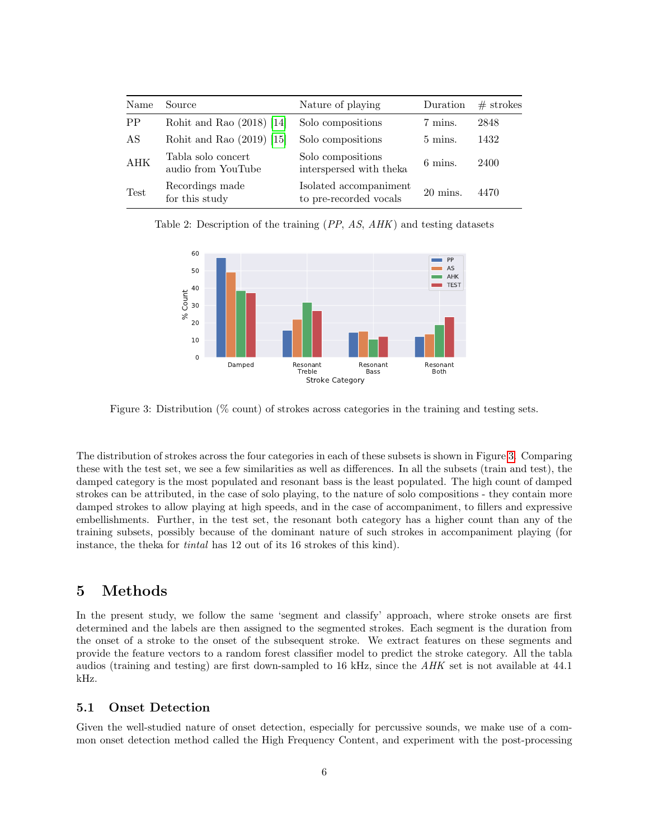<span id="page-5-0"></span>

| Name        | Source                                   | Nature of playing                                | Duration            | $#$ strokes |
|-------------|------------------------------------------|--------------------------------------------------|---------------------|-------------|
| <b>PP</b>   | Rohit and Rao $(2018)$ [14]              | Solo compositions                                | 7 mins.             | 2848        |
| AS          | Rohit and Rao $(2019)$ [15]              | Solo compositions                                | 5 mins.             | 1432        |
| <b>AHK</b>  | Tabla solo concert<br>audio from YouTube | Solo compositions<br>interspersed with theka     | 6 mins.             | 2400        |
| <b>Test</b> | Recordings made<br>for this study        | Isolated accompaniment<br>to pre-recorded vocals | $20 \text{ mins}$ . | 4470        |

<span id="page-5-2"></span>Table 2: Description of the training (PP, AS, AHK) and testing datasets



Figure 3: Distribution (% count) of strokes across categories in the training and testing sets.

The distribution of strokes across the four categories in each of these subsets is shown in Figure [3.](#page-5-2) Comparing these with the test set, we see a few similarities as well as differences. In all the subsets (train and test), the damped category is the most populated and resonant bass is the least populated. The high count of damped strokes can be attributed, in the case of solo playing, to the nature of solo compositions - they contain more damped strokes to allow playing at high speeds, and in the case of accompaniment, to fillers and expressive embellishments. Further, in the test set, the resonant both category has a higher count than any of the training subsets, possibly because of the dominant nature of such strokes in accompaniment playing (for instance, the theka for tintal has 12 out of its 16 strokes of this kind).

### 5 Methods

In the present study, we follow the same 'segment and classify' approach, where stroke onsets are first determined and the labels are then assigned to the segmented strokes. Each segment is the duration from the onset of a stroke to the onset of the subsequent stroke. We extract features on these segments and provide the feature vectors to a random forest classifier model to predict the stroke category. All the tabla audios (training and testing) are first down-sampled to 16 kHz, since the AHK set is not available at 44.1 kHz.

#### <span id="page-5-1"></span>5.1 Onset Detection

Given the well-studied nature of onset detection, especially for percussive sounds, we make use of a common onset detection method called the High Frequency Content, and experiment with the post-processing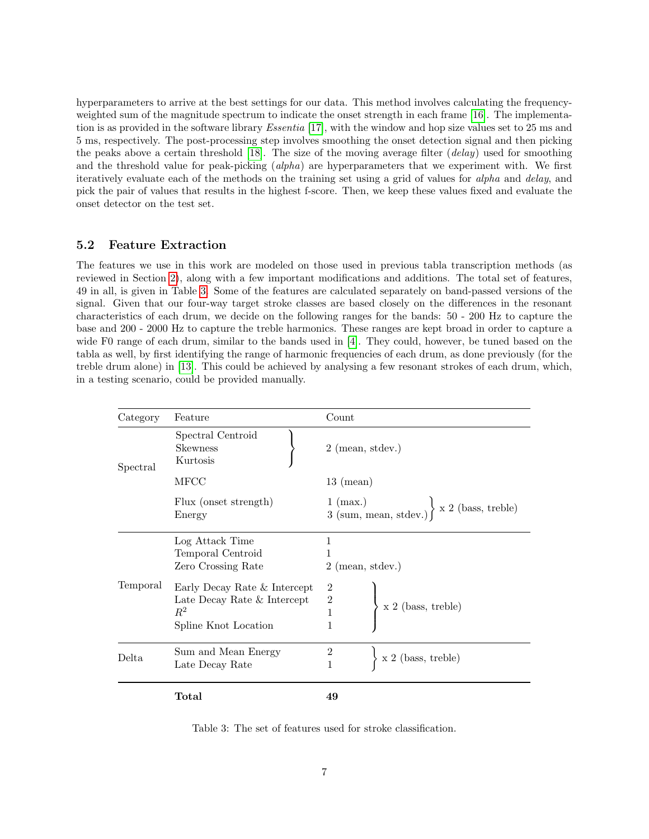hyperparameters to arrive at the best settings for our data. This method involves calculating the frequencyweighted sum of the magnitude spectrum to indicate the onset strength in each frame [\[16\]](#page-14-15). The implementation is as provided in the software library Essentia [\[17\]](#page-14-16), with the window and hop size values set to 25 ms and 5 ms, respectively. The post-processing step involves smoothing the onset detection signal and then picking the peaks above a certain threshold [\[18\]](#page-15-0). The size of the moving average filter (delay) used for smoothing and the threshold value for peak-picking (alpha) are hyperparameters that we experiment with. We first iteratively evaluate each of the methods on the training set using a grid of values for alpha and delay, and pick the pair of values that results in the highest f-score. Then, we keep these values fixed and evaluate the onset detector on the test set.

#### 5.2 Feature Extraction

The features we use in this work are modeled on those used in previous tabla transcription methods (as reviewed in Section [2\)](#page-1-1), along with a few important modifications and additions. The total set of features, 49 in all, is given in Table [3.](#page-6-0) Some of the features are calculated separately on band-passed versions of the signal. Given that our four-way target stroke classes are based closely on the differences in the resonant characteristics of each drum, we decide on the following ranges for the bands: 50 - 200 Hz to capture the base and 200 - 2000 Hz to capture the treble harmonics. These ranges are kept broad in order to capture a wide F0 range of each drum, similar to the bands used in [\[4\]](#page-14-3). They could, however, be tuned based on the tabla as well, by first identifying the range of harmonic frequencies of each drum, as done previously (for the treble drum alone) in [\[13\]](#page-14-12). This could be achieved by analysing a few resonant strokes of each drum, which, in a testing scenario, could be provided manually.

<span id="page-6-0"></span>

| Category | Feature                                          | Count                                                                                                                   |  |  |
|----------|--------------------------------------------------|-------------------------------------------------------------------------------------------------------------------------|--|--|
| Spectral | Spectral Centroid<br><b>Skewness</b><br>Kurtosis | $2 \text{ (mean, stdev.)}$                                                                                              |  |  |
|          | MFCC                                             | $13 \pmod{2}$                                                                                                           |  |  |
|          | Flux (onset strength)<br>Energy                  | $\left. \begin{array}{l l} 1 \ (\text{max.}) \\ 3 \ (\text{sum, mean, stdev.}) \end{array} \right\}$ x 2 (bass, treble) |  |  |
|          | Log Attack Time                                  | 1                                                                                                                       |  |  |
|          | Temporal Centroid                                | 1                                                                                                                       |  |  |
|          | Zero Crossing Rate                               | $2 \text{ (mean, stdev.)}$                                                                                              |  |  |
| Temporal | Early Decay Rate & Intercept                     |                                                                                                                         |  |  |
|          | Late Decay Rate & Intercept                      | $\begin{array}{c} 2 \\ 1 \end{array}$<br>$\Big\{$ x 2 (bass, treble)                                                    |  |  |
|          | $R^2$                                            |                                                                                                                         |  |  |
|          | Spline Knot Location                             |                                                                                                                         |  |  |
| Delta    | Sum and Mean Energy                              | $\boldsymbol{2}$                                                                                                        |  |  |
|          | Late Decay Rate                                  | $\ge$ 2 (bass, treble)<br>1                                                                                             |  |  |
|          | Total                                            | 49                                                                                                                      |  |  |

Table 3: The set of features used for stroke classification.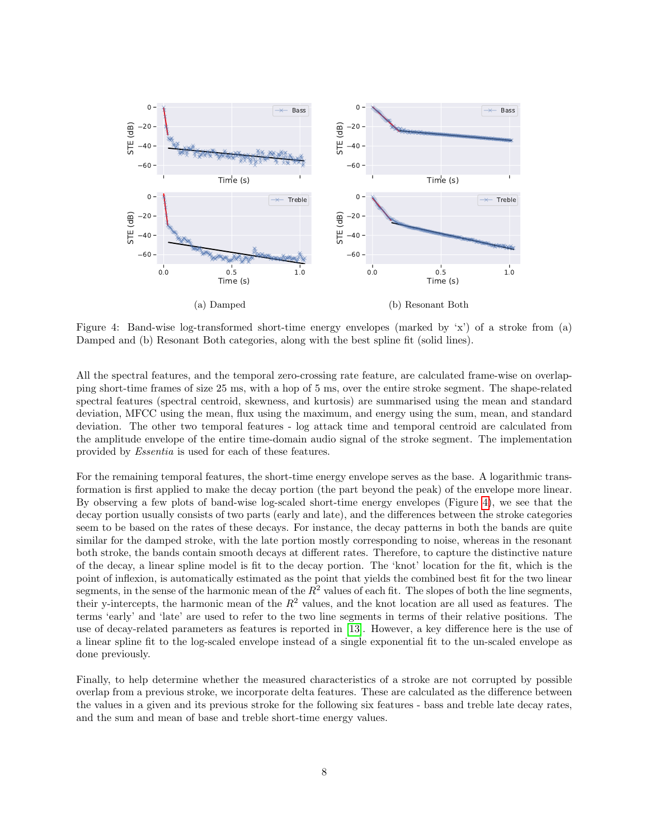<span id="page-7-0"></span>

Figure 4: Band-wise log-transformed short-time energy envelopes (marked by 'x') of a stroke from (a) Damped and (b) Resonant Both categories, along with the best spline fit (solid lines).

All the spectral features, and the temporal zero-crossing rate feature, are calculated frame-wise on overlapping short-time frames of size 25 ms, with a hop of 5 ms, over the entire stroke segment. The shape-related spectral features (spectral centroid, skewness, and kurtosis) are summarised using the mean and standard deviation, MFCC using the mean, flux using the maximum, and energy using the sum, mean, and standard deviation. The other two temporal features - log attack time and temporal centroid are calculated from the amplitude envelope of the entire time-domain audio signal of the stroke segment. The implementation provided by Essentia is used for each of these features.

For the remaining temporal features, the short-time energy envelope serves as the base. A logarithmic transformation is first applied to make the decay portion (the part beyond the peak) of the envelope more linear. By observing a few plots of band-wise log-scaled short-time energy envelopes (Figure [4\)](#page-7-0), we see that the decay portion usually consists of two parts (early and late), and the differences between the stroke categories seem to be based on the rates of these decays. For instance, the decay patterns in both the bands are quite similar for the damped stroke, with the late portion mostly corresponding to noise, whereas in the resonant both stroke, the bands contain smooth decays at different rates. Therefore, to capture the distinctive nature of the decay, a linear spline model is fit to the decay portion. The 'knot' location for the fit, which is the point of inflexion, is automatically estimated as the point that yields the combined best fit for the two linear segments, in the sense of the harmonic mean of the  $R^2$  values of each fit. The slopes of both the line segments, their y-intercepts, the harmonic mean of the  $R^2$  values, and the knot location are all used as features. The terms 'early' and 'late' are used to refer to the two line segments in terms of their relative positions. The use of decay-related parameters as features is reported in [\[13\]](#page-14-12). However, a key difference here is the use of a linear spline fit to the log-scaled envelope instead of a single exponential fit to the un-scaled envelope as done previously.

Finally, to help determine whether the measured characteristics of a stroke are not corrupted by possible overlap from a previous stroke, we incorporate delta features. These are calculated as the difference between the values in a given and its previous stroke for the following six features - bass and treble late decay rates, and the sum and mean of base and treble short-time energy values.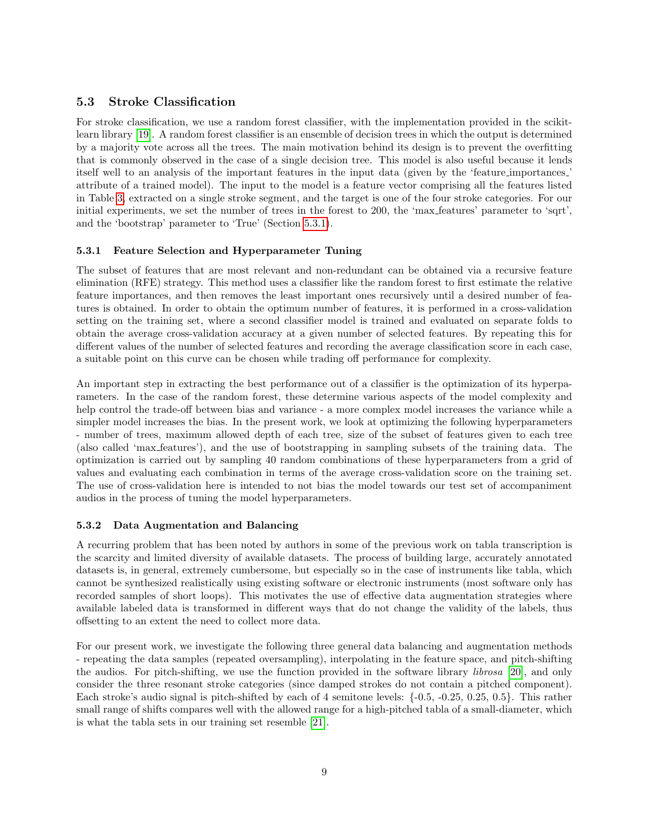### 5.3 Stroke Classification

For stroke classification, we use a random forest classifier, with the implementation provided in the scikitlearn library [\[19\]](#page-15-1). A random forest classifier is an ensemble of decision trees in which the output is determined by a majority vote across all the trees. The main motivation behind its design is to prevent the overfitting that is commonly observed in the case of a single decision tree. This model is also useful because it lends itself well to an analysis of the important features in the input data (given by the 'feature importances ' attribute of a trained model). The input to the model is a feature vector comprising all the features listed in Table [3,](#page-6-0) extracted on a single stroke segment, and the target is one of the four stroke categories. For our initial experiments, we set the number of trees in the forest to 200, the 'max features' parameter to 'sqrt', and the 'bootstrap' parameter to 'True' (Section [5.3.1\)](#page-8-0).

#### <span id="page-8-0"></span>5.3.1 Feature Selection and Hyperparameter Tuning

The subset of features that are most relevant and non-redundant can be obtained via a recursive feature elimination (RFE) strategy. This method uses a classifier like the random forest to first estimate the relative feature importances, and then removes the least important ones recursively until a desired number of features is obtained. In order to obtain the optimum number of features, it is performed in a cross-validation setting on the training set, where a second classifier model is trained and evaluated on separate folds to obtain the average cross-validation accuracy at a given number of selected features. By repeating this for different values of the number of selected features and recording the average classification score in each case, a suitable point on this curve can be chosen while trading off performance for complexity.

An important step in extracting the best performance out of a classifier is the optimization of its hyperparameters. In the case of the random forest, these determine various aspects of the model complexity and help control the trade-off between bias and variance - a more complex model increases the variance while a simpler model increases the bias. In the present work, we look at optimizing the following hyperparameters - number of trees, maximum allowed depth of each tree, size of the subset of features given to each tree (also called 'max features'), and the use of bootstrapping in sampling subsets of the training data. The optimization is carried out by sampling 40 random combinations of these hyperparameters from a grid of values and evaluating each combination in terms of the average cross-validation score on the training set. The use of cross-validation here is intended to not bias the model towards our test set of accompaniment audios in the process of tuning the model hyperparameters.

#### 5.3.2 Data Augmentation and Balancing

A recurring problem that has been noted by authors in some of the previous work on tabla transcription is the scarcity and limited diversity of available datasets. The process of building large, accurately annotated datasets is, in general, extremely cumbersome, but especially so in the case of instruments like tabla, which cannot be synthesized realistically using existing software or electronic instruments (most software only has recorded samples of short loops). This motivates the use of effective data augmentation strategies where available labeled data is transformed in different ways that do not change the validity of the labels, thus offsetting to an extent the need to collect more data.

For our present work, we investigate the following three general data balancing and augmentation methods - repeating the data samples (repeated oversampling), interpolating in the feature space, and pitch-shifting the audios. For pitch-shifting, we use the function provided in the software library librosa [\[20\]](#page-15-2), and only consider the three resonant stroke categories (since damped strokes do not contain a pitched component). Each stroke's audio signal is pitch-shifted by each of 4 semitone levels: {-0.5, -0.25, 0.25, 0.5}. This rather small range of shifts compares well with the allowed range for a high-pitched tabla of a small-diameter, which is what the tabla sets in our training set resemble [\[21\]](#page-15-3).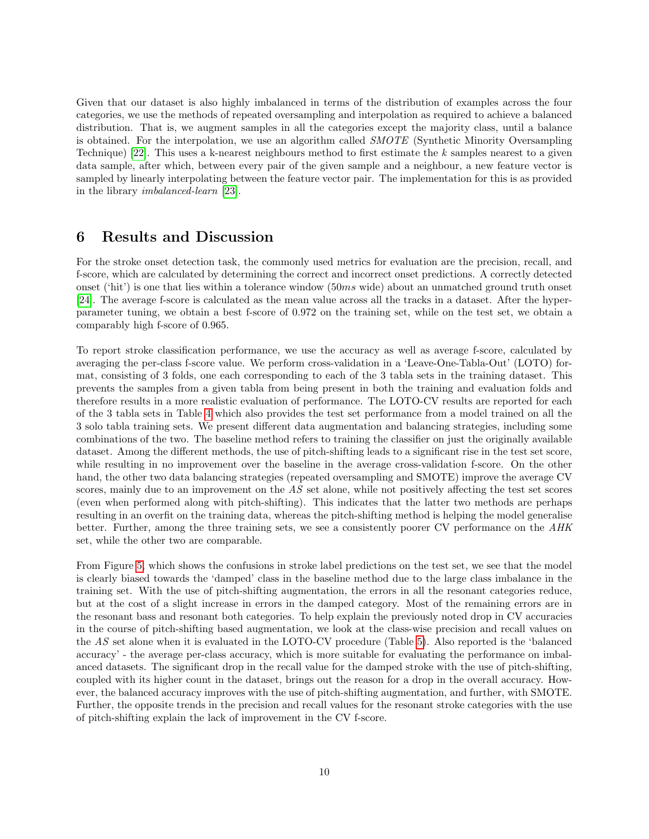Given that our dataset is also highly imbalanced in terms of the distribution of examples across the four categories, we use the methods of repeated oversampling and interpolation as required to achieve a balanced distribution. That is, we augment samples in all the categories except the majority class, until a balance is obtained. For the interpolation, we use an algorithm called *SMOTE* (Synthetic Minority Oversampling Technique) [\[22\]](#page-15-4). This uses a k-nearest neighbours method to first estimate the k samples nearest to a given data sample, after which, between every pair of the given sample and a neighbour, a new feature vector is sampled by linearly interpolating between the feature vector pair. The implementation for this is as provided in the library imbalanced-learn [\[23\]](#page-15-5).

### 6 Results and Discussion

For the stroke onset detection task, the commonly used metrics for evaluation are the precision, recall, and f-score, which are calculated by determining the correct and incorrect onset predictions. A correctly detected onset ('hit') is one that lies within a tolerance window (50ms wide) about an unmatched ground truth onset [\[24\]](#page-15-6). The average f-score is calculated as the mean value across all the tracks in a dataset. After the hyperparameter tuning, we obtain a best f-score of 0.972 on the training set, while on the test set, we obtain a comparably high f-score of 0.965.

To report stroke classification performance, we use the accuracy as well as average f-score, calculated by averaging the per-class f-score value. We perform cross-validation in a 'Leave-One-Tabla-Out' (LOTO) format, consisting of 3 folds, one each corresponding to each of the 3 tabla sets in the training dataset. This prevents the samples from a given tabla from being present in both the training and evaluation folds and therefore results in a more realistic evaluation of performance. The LOTO-CV results are reported for each of the 3 tabla sets in Table [4](#page-10-0) which also provides the test set performance from a model trained on all the 3 solo tabla training sets. We present different data augmentation and balancing strategies, including some combinations of the two. The baseline method refers to training the classifier on just the originally available dataset. Among the different methods, the use of pitch-shifting leads to a significant rise in the test set score, while resulting in no improvement over the baseline in the average cross-validation f-score. On the other hand, the other two data balancing strategies (repeated oversampling and SMOTE) improve the average CV scores, mainly due to an improvement on the AS set alone, while not positively affecting the test set scores (even when performed along with pitch-shifting). This indicates that the latter two methods are perhaps resulting in an overfit on the training data, whereas the pitch-shifting method is helping the model generalise better. Further, among the three training sets, we see a consistently poorer CV performance on the AHK set, while the other two are comparable.

From Figure [5,](#page-10-1) which shows the confusions in stroke label predictions on the test set, we see that the model is clearly biased towards the 'damped' class in the baseline method due to the large class imbalance in the training set. With the use of pitch-shifting augmentation, the errors in all the resonant categories reduce, but at the cost of a slight increase in errors in the damped category. Most of the remaining errors are in the resonant bass and resonant both categories. To help explain the previously noted drop in CV accuracies in the course of pitch-shifting based augmentation, we look at the class-wise precision and recall values on the AS set alone when it is evaluated in the LOTO-CV procedure (Table [5\)](#page-11-0). Also reported is the 'balanced accuracy' - the average per-class accuracy, which is more suitable for evaluating the performance on imbalanced datasets. The significant drop in the recall value for the damped stroke with the use of pitch-shifting, coupled with its higher count in the dataset, brings out the reason for a drop in the overall accuracy. However, the balanced accuracy improves with the use of pitch-shifting augmentation, and further, with SMOTE. Further, the opposite trends in the precision and recall values for the resonant stroke categories with the use of pitch-shifting explain the lack of improvement in the CV f-score.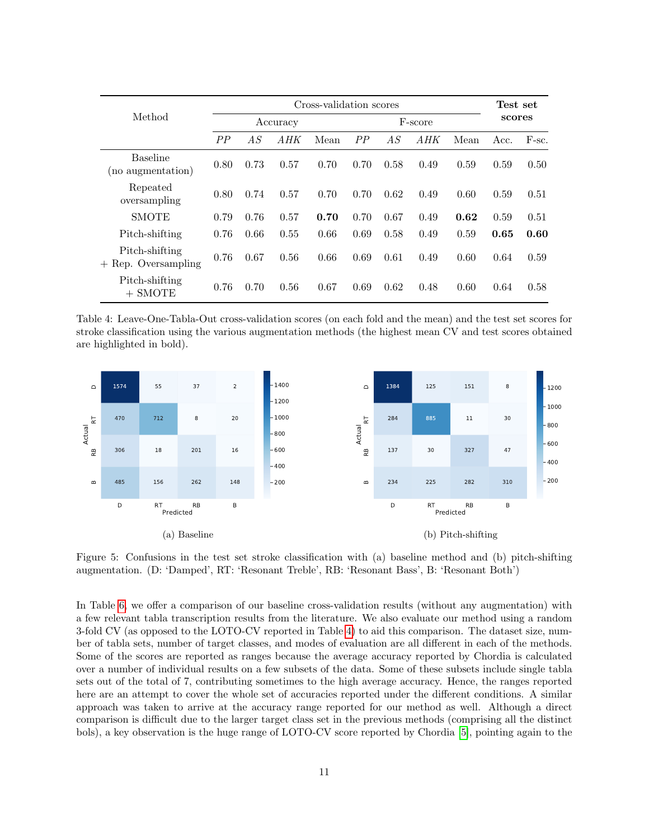<span id="page-10-0"></span>

|                                         | Cross-validation scores |      |      |         |      |      | Test set |        |      |       |
|-----------------------------------------|-------------------------|------|------|---------|------|------|----------|--------|------|-------|
| Method                                  | Accuracy                |      |      | F-score |      |      |          | scores |      |       |
|                                         | PP                      | A S  | A HK | Mean    | PP   | AS   | A HK     | Mean   | Acc. | F-sc. |
| <b>Baseline</b><br>(no augmentation)    | 0.80                    | 0.73 | 0.57 | 0.70    | 0.70 | 0.58 | 0.49     | 0.59   | 0.59 | 0.50  |
| Repeated<br>oversampling                | 0.80                    | 0.74 | 0.57 | 0.70    | 0.70 | 0.62 | 0.49     | 0.60   | 0.59 | 0.51  |
| <b>SMOTE</b>                            | 0.79                    | 0.76 | 0.57 | 0.70    | 0.70 | 0.67 | 0.49     | 0.62   | 0.59 | 0.51  |
| Pitch-shifting                          | 0.76                    | 0.66 | 0.55 | 0.66    | 0.69 | 0.58 | 0.49     | 0.59   | 0.65 | 0.60  |
| Pitch-shifting<br>$+$ Rep. Oversampling | 0.76                    | 0.67 | 0.56 | 0.66    | 0.69 | 0.61 | 0.49     | 0.60   | 0.64 | 0.59  |
| Pitch-shifting<br>$+$ SMOTE             | 0.76                    | 0.70 | 0.56 | 0.67    | 0.69 | 0.62 | 0.48     | 0.60   | 0.64 | 0.58  |

Table 4: Leave-One-Tabla-Out cross-validation scores (on each fold and the mean) and the test set scores for stroke classification using the various augmentation methods (the highest mean CV and test scores obtained are highlighted in bold).

<span id="page-10-1"></span>

Figure 5: Confusions in the test set stroke classification with (a) baseline method and (b) pitch-shifting augmentation. (D: 'Damped', RT: 'Resonant Treble', RB: 'Resonant Bass', B: 'Resonant Both')

In Table [6,](#page-11-1) we offer a comparison of our baseline cross-validation results (without any augmentation) with a few relevant tabla transcription results from the literature. We also evaluate our method using a random 3-fold CV (as opposed to the LOTO-CV reported in Table [4\)](#page-10-0) to aid this comparison. The dataset size, number of tabla sets, number of target classes, and modes of evaluation are all different in each of the methods. Some of the scores are reported as ranges because the average accuracy reported by Chordia is calculated over a number of individual results on a few subsets of the data. Some of these subsets include single tabla sets out of the total of 7, contributing sometimes to the high average accuracy. Hence, the ranges reported here are an attempt to cover the whole set of accuracies reported under the different conditions. A similar approach was taken to arrive at the accuracy range reported for our method as well. Although a direct comparison is difficult due to the larger target class set in the previous methods (comprising all the distinct bols), a key observation is the huge range of LOTO-CV score reported by Chordia [\[5\]](#page-14-5), pointing again to the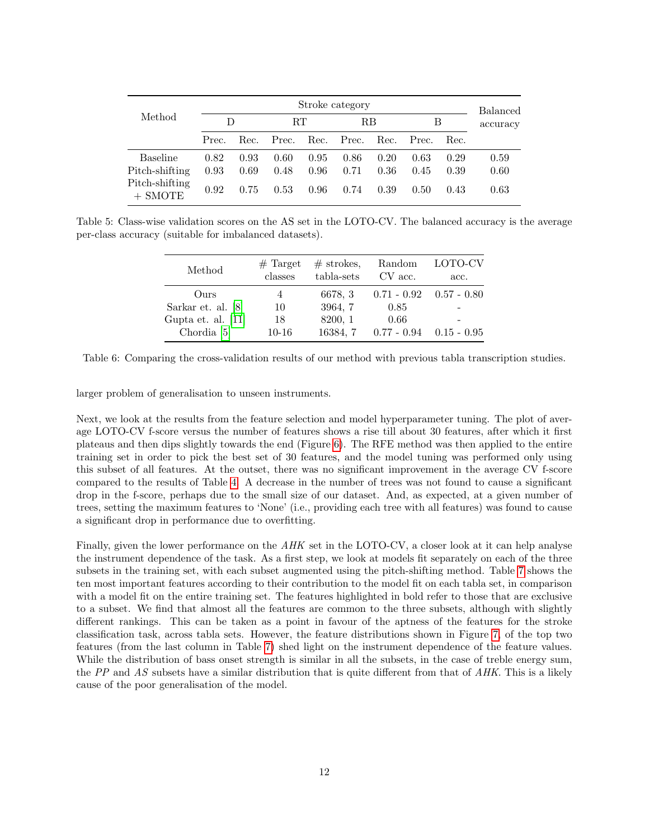<span id="page-11-0"></span>

|                                                                  | Stroke category      |                      |                      |                      |                      |                      |                      |                      | <b>Balanced</b>      |
|------------------------------------------------------------------|----------------------|----------------------|----------------------|----------------------|----------------------|----------------------|----------------------|----------------------|----------------------|
| Method                                                           | I)                   |                      | RT                   |                      | RВ                   |                      | В                    |                      | accuracy             |
|                                                                  | Prec.                | Rec.                 | Prec.                | Rec.                 | Prec.                | Rec.                 | Prec.                | Rec.                 |                      |
| <b>Baseline</b><br>Pitch-shifting<br>Pitch-shifting<br>$+$ SMOTE | 0.82<br>0.93<br>0.92 | 0.93<br>0.69<br>0.75 | 0.60<br>0.48<br>0.53 | 0.95<br>0.96<br>0.96 | 0.86<br>0.71<br>0.74 | 0.20<br>0.36<br>0.39 | 0.63<br>0.45<br>0.50 | 0.29<br>0.39<br>0.43 | 0.59<br>0.60<br>0.63 |

<span id="page-11-1"></span>Table 5: Class-wise validation scores on the AS set in the LOTO-CV. The balanced accuracy is the average per-class accuracy (suitable for imbalanced datasets).

| Method               | $#$ Target<br>classes | $#$ strokes,<br>tabla-sets | Random<br>CV acc. | LOTO-CV<br>acc. |
|----------------------|-----------------------|----------------------------|-------------------|-----------------|
| Ours                 | 4                     | 6678, 3                    | $0.71 - 0.92$     | $0.57 - 0.80$   |
| Sarkar et. al. [8]   | 10                    | 3964, 7                    | 0.85              |                 |
| Gupta et. al. $[11]$ | 18                    | 8200, 1                    | 0.66              |                 |
| Chordia $[5]$        | $10-16$               | 16384.7                    | $0.77 - 0.94$     | $0.15$ - $0.95$ |

Table 6: Comparing the cross-validation results of our method with previous tabla transcription studies.

larger problem of generalisation to unseen instruments.

Next, we look at the results from the feature selection and model hyperparameter tuning. The plot of average LOTO-CV f-score versus the number of features shows a rise till about 30 features, after which it first plateaus and then dips slightly towards the end (Figure [6\)](#page-12-0). The RFE method was then applied to the entire training set in order to pick the best set of 30 features, and the model tuning was performed only using this subset of all features. At the outset, there was no significant improvement in the average CV f-score compared to the results of Table [4.](#page-10-0) A decrease in the number of trees was not found to cause a significant drop in the f-score, perhaps due to the small size of our dataset. And, as expected, at a given number of trees, setting the maximum features to 'None' (i.e., providing each tree with all features) was found to cause a significant drop in performance due to overfitting.

Finally, given the lower performance on the AHK set in the LOTO-CV, a closer look at it can help analyse the instrument dependence of the task. As a first step, we look at models fit separately on each of the three subsets in the training set, with each subset augmented using the pitch-shifting method. Table [7](#page-12-1) shows the ten most important features according to their contribution to the model fit on each tabla set, in comparison with a model fit on the entire training set. The features highlighted in bold refer to those that are exclusive to a subset. We find that almost all the features are common to the three subsets, although with slightly different rankings. This can be taken as a point in favour of the aptness of the features for the stroke classification task, across tabla sets. However, the feature distributions shown in Figure [7,](#page-13-0) of the top two features (from the last column in Table [7\)](#page-12-1) shed light on the instrument dependence of the feature values. While the distribution of bass onset strength is similar in all the subsets, in the case of treble energy sum, the PP and AS subsets have a similar distribution that is quite different from that of  $AHK$ . This is a likely cause of the poor generalisation of the model.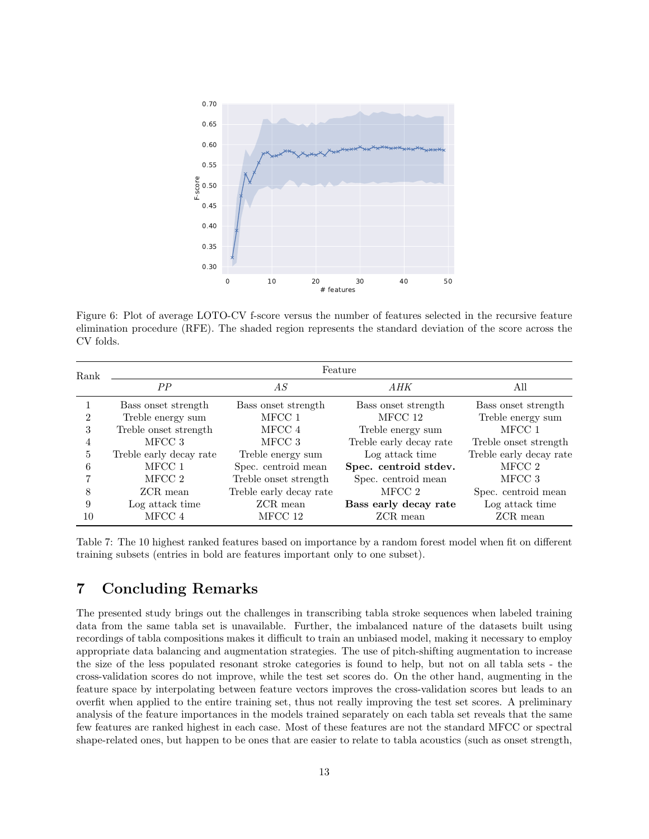<span id="page-12-0"></span>

Figure 6: Plot of average LOTO-CV f-score versus the number of features selected in the recursive feature elimination procedure (RFE). The shaded region represents the standard deviation of the score across the CV folds.

<span id="page-12-1"></span>

| Rank | Feature                 |                         |                         |                         |  |  |  |  |
|------|-------------------------|-------------------------|-------------------------|-------------------------|--|--|--|--|
|      | PP                      | AS                      | AHK                     | All                     |  |  |  |  |
|      | Bass onset strength     | Bass onset strength     | Bass onset strength     | Bass onset strength     |  |  |  |  |
| 2    | Treble energy sum       | MFCC 1                  | MFCC 12                 | Treble energy sum       |  |  |  |  |
| 3    | Treble onset strength   | MFCC 4                  | Treble energy sum       | MFCC 1                  |  |  |  |  |
| 4    | MFCC 3                  | MFCC 3                  | Treble early decay rate | Treble onset strength   |  |  |  |  |
| 5    | Treble early decay rate | Treble energy sum       | Log attack time         | Treble early decay rate |  |  |  |  |
| 6    | MFCC 1                  | Spec. centroid mean     | Spec. centroid stdev.   | MFCC 2                  |  |  |  |  |
|      | MFCC 2                  | Treble onset strength   | Spec. centroid mean     | MFCC 3                  |  |  |  |  |
|      | ZCR mean                | Treble early decay rate | MFCC 2                  | Spec. centroid mean     |  |  |  |  |
| 9    | Log attack time         | ZCR mean                | Bass early decay rate   | Log attack time         |  |  |  |  |
| 10   | MFCC 4                  | MFCC 12                 | ZCR mean                | ZCR mean                |  |  |  |  |

Table 7: The 10 highest ranked features based on importance by a random forest model when fit on different training subsets (entries in bold are features important only to one subset).

### 7 Concluding Remarks

The presented study brings out the challenges in transcribing tabla stroke sequences when labeled training data from the same tabla set is unavailable. Further, the imbalanced nature of the datasets built using recordings of tabla compositions makes it difficult to train an unbiased model, making it necessary to employ appropriate data balancing and augmentation strategies. The use of pitch-shifting augmentation to increase the size of the less populated resonant stroke categories is found to help, but not on all tabla sets - the cross-validation scores do not improve, while the test set scores do. On the other hand, augmenting in the feature space by interpolating between feature vectors improves the cross-validation scores but leads to an overfit when applied to the entire training set, thus not really improving the test set scores. A preliminary analysis of the feature importances in the models trained separately on each tabla set reveals that the same few features are ranked highest in each case. Most of these features are not the standard MFCC or spectral shape-related ones, but happen to be ones that are easier to relate to tabla acoustics (such as onset strength,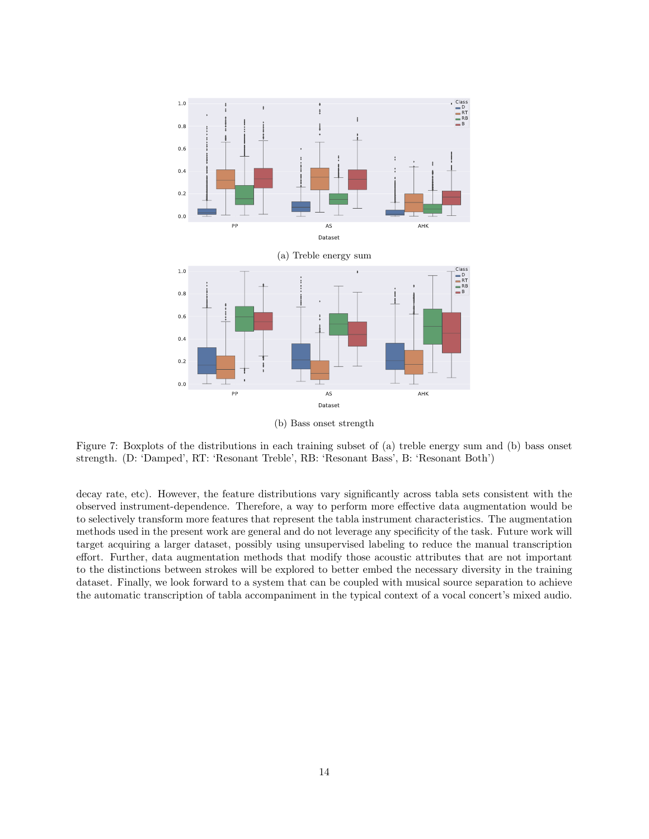<span id="page-13-0"></span>

(b) Bass onset strength

Figure 7: Boxplots of the distributions in each training subset of (a) treble energy sum and (b) bass onset strength. (D: 'Damped', RT: 'Resonant Treble', RB: 'Resonant Bass', B: 'Resonant Both')

decay rate, etc). However, the feature distributions vary significantly across tabla sets consistent with the observed instrument-dependence. Therefore, a way to perform more effective data augmentation would be to selectively transform more features that represent the tabla instrument characteristics. The augmentation methods used in the present work are general and do not leverage any specificity of the task. Future work will target acquiring a larger dataset, possibly using unsupervised labeling to reduce the manual transcription effort. Further, data augmentation methods that modify those acoustic attributes that are not important to the distinctions between strokes will be explored to better embed the necessary diversity in the training dataset. Finally, we look forward to a system that can be coupled with musical source separation to achieve the automatic transcription of tabla accompaniment in the typical context of a vocal concert's mixed audio.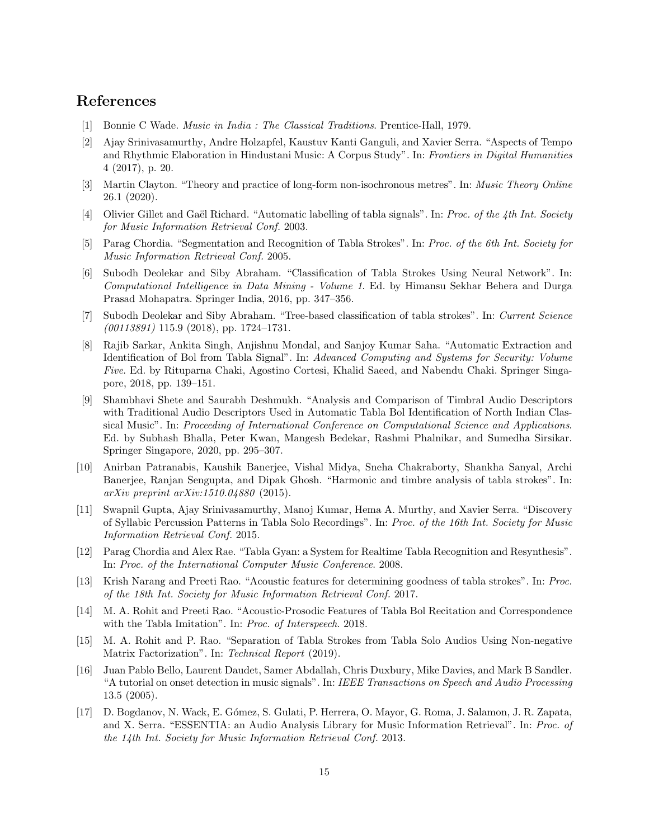# References

- <span id="page-14-0"></span>[1] Bonnie C Wade. Music in India : The Classical Traditions. Prentice-Hall, 1979.
- <span id="page-14-1"></span>[2] Ajay Srinivasamurthy, Andre Holzapfel, Kaustuv Kanti Ganguli, and Xavier Serra. "Aspects of Tempo and Rhythmic Elaboration in Hindustani Music: A Corpus Study". In: Frontiers in Digital Humanities 4 (2017), p. 20.
- <span id="page-14-2"></span>[3] Martin Clayton. "Theory and practice of long-form non-isochronous metres". In: Music Theory Online 26.1 (2020).
- <span id="page-14-3"></span>[4] Olivier Gillet and Gaël Richard. "Automatic labelling of tabla signals". In: Proc. of the 4th Int. Society for Music Information Retrieval Conf. 2003.
- <span id="page-14-5"></span>[5] Parag Chordia. "Segmentation and Recognition of Tabla Strokes". In: Proc. of the 6th Int. Society for Music Information Retrieval Conf. 2005.
- <span id="page-14-7"></span>[6] Subodh Deolekar and Siby Abraham. "Classification of Tabla Strokes Using Neural Network". In: Computational Intelligence in Data Mining - Volume 1. Ed. by Himansu Sekhar Behera and Durga Prasad Mohapatra. Springer India, 2016, pp. 347–356.
- <span id="page-14-9"></span>[7] Subodh Deolekar and Siby Abraham. "Tree-based classification of tabla strokes". In: Current Science (00113891) 115.9 (2018), pp. 1724–1731.
- <span id="page-14-6"></span>[8] Rajib Sarkar, Ankita Singh, Anjishnu Mondal, and Sanjoy Kumar Saha. "Automatic Extraction and Identification of Bol from Tabla Signal". In: Advanced Computing and Systems for Security: Volume Five. Ed. by Rituparna Chaki, Agostino Cortesi, Khalid Saeed, and Nabendu Chaki. Springer Singapore, 2018, pp. 139–151.
- <span id="page-14-4"></span>[9] Shambhavi Shete and Saurabh Deshmukh. "Analysis and Comparison of Timbral Audio Descriptors with Traditional Audio Descriptors Used in Automatic Tabla Bol Identification of North Indian Classical Music". In: Proceeding of International Conference on Computational Science and Applications. Ed. by Subhash Bhalla, Peter Kwan, Mangesh Bedekar, Rashmi Phalnikar, and Sumedha Sirsikar. Springer Singapore, 2020, pp. 295–307.
- <span id="page-14-8"></span>[10] Anirban Patranabis, Kaushik Banerjee, Vishal Midya, Sneha Chakraborty, Shankha Sanyal, Archi Banerjee, Ranjan Sengupta, and Dipak Ghosh. "Harmonic and timbre analysis of tabla strokes". In: arXiv preprint arXiv:1510.04880 (2015).
- <span id="page-14-10"></span>[11] Swapnil Gupta, Ajay Srinivasamurthy, Manoj Kumar, Hema A. Murthy, and Xavier Serra. "Discovery of Syllabic Percussion Patterns in Tabla Solo Recordings". In: Proc. of the 16th Int. Society for Music Information Retrieval Conf. 2015.
- <span id="page-14-11"></span>[12] Parag Chordia and Alex Rae. "Tabla Gyan: a System for Realtime Tabla Recognition and Resynthesis". In: Proc. of the International Computer Music Conference. 2008.
- <span id="page-14-12"></span>[13] Krish Narang and Preeti Rao. "Acoustic features for determining goodness of tabla strokes". In: Proc. of the 18th Int. Society for Music Information Retrieval Conf. 2017.
- <span id="page-14-13"></span>[14] M. A. Rohit and Preeti Rao. "Acoustic-Prosodic Features of Tabla Bol Recitation and Correspondence with the Tabla Imitation". In: Proc. of Interspeech. 2018.
- <span id="page-14-14"></span>[15] M. A. Rohit and P. Rao. "Separation of Tabla Strokes from Tabla Solo Audios Using Non-negative Matrix Factorization". In: Technical Report (2019).
- <span id="page-14-15"></span>[16] Juan Pablo Bello, Laurent Daudet, Samer Abdallah, Chris Duxbury, Mike Davies, and Mark B Sandler. "A tutorial on onset detection in music signals". In: IEEE Transactions on Speech and Audio Processing 13.5 (2005).
- <span id="page-14-16"></span>[17] D. Bogdanov, N. Wack, E. G´omez, S. Gulati, P. Herrera, O. Mayor, G. Roma, J. Salamon, J. R. Zapata, and X. Serra. "ESSENTIA: an Audio Analysis Library for Music Information Retrieval". In: Proc. of the 14th Int. Society for Music Information Retrieval Conf. 2013.